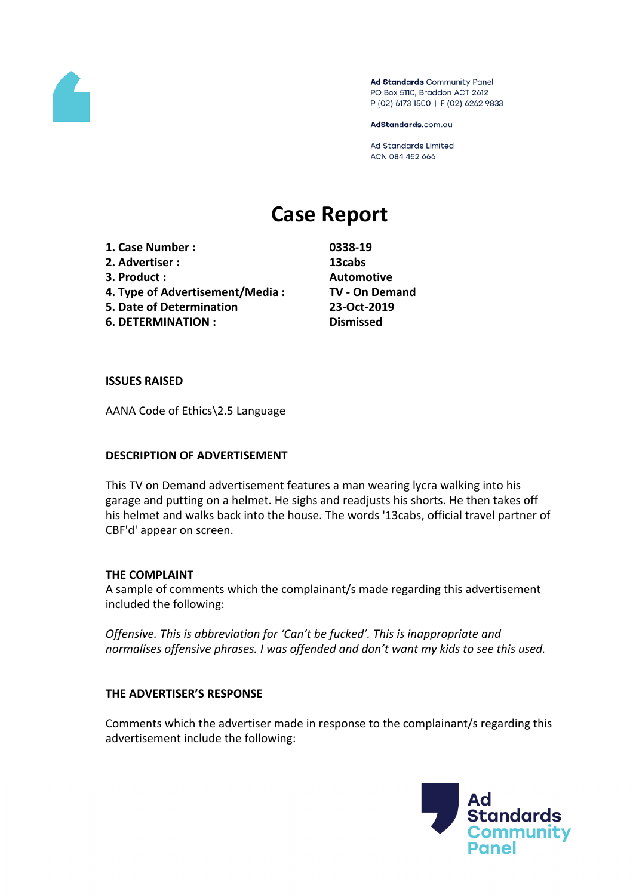

Ad Standards Community Panel PO Box 5110, Braddon ACT 2612 P (02) 6173 1500 | F (02) 6262 9833

AdStandards.com.au

Ad Standards Limited ACN 084 452 666

# **Case Report**

- **1. Case Number : 0338-19**
- **2. Advertiser : 13cabs**
- 
- **4. Type of Advertisement/Media : TV - On Demand**
- **5. Date of Determination 23-Oct-2019**

**6. DETERMINATION : Dismissed**

**3. Product : Automotive**

### **ISSUES RAISED**

AANA Code of Ethics\2.5 Language

### **DESCRIPTION OF ADVERTISEMENT**

This TV on Demand advertisement features a man wearing lycra walking into his garage and putting on a helmet. He sighs and readjusts his shorts. He then takes off his helmet and walks back into the house. The words '13cabs, official travel partner of CBF'd' appear on screen.

### **THE COMPLAINT**

A sample of comments which the complainant/s made regarding this advertisement included the following:

*Offensive. This is abbreviation for 'Can't be fucked'. This is inappropriate and normalises offensive phrases. I was offended and don't want my kids to see this used.*

### **THE ADVERTISER'S RESPONSE**

Comments which the advertiser made in response to the complainant/s regarding this advertisement include the following:

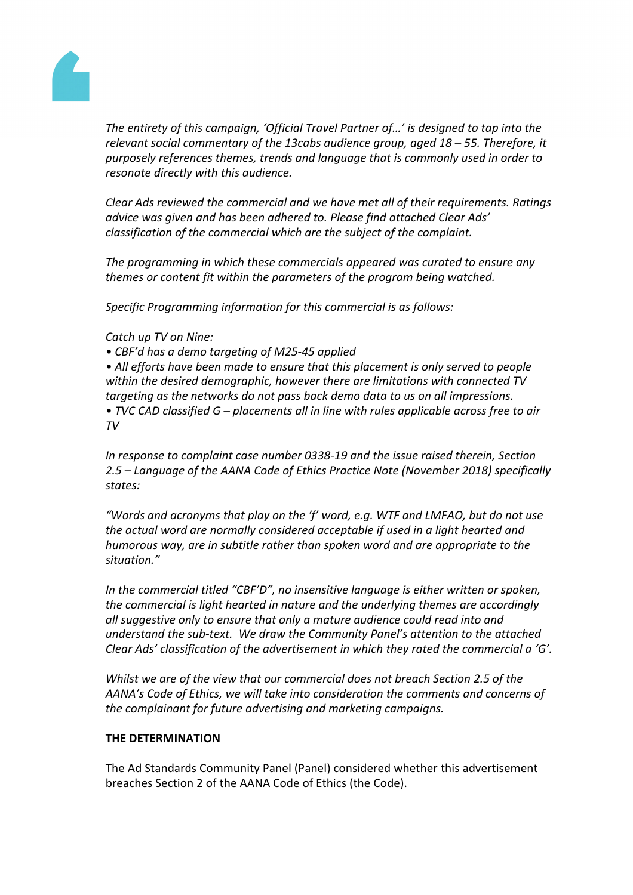

*The entirety of this campaign, 'Official Travel Partner of…' is designed to tap into the relevant social commentary of the 13cabs audience group, aged 18 – 55. Therefore, it purposely references themes, trends and language that is commonly used in order to resonate directly with this audience.*

*Clear Ads reviewed the commercial and we have met all of their requirements. Ratings advice was given and has been adhered to. Please find attached Clear Ads' classification of the commercial which are the subject of the complaint.*

*The programming in which these commercials appeared was curated to ensure any themes or content fit within the parameters of the program being watched.*

*Specific Programming information for this commercial is as follows:*

*Catch up TV on Nine:*

*• CBF'd has a demo targeting of M25-45 applied*

*• All efforts have been made to ensure that this placement is only served to people within the desired demographic, however there are limitations with connected TV targeting as the networks do not pass back demo data to us on all impressions. • TVC CAD classified G – placements all in line with rules applicable across free to air TV*

*In response to complaint case number 0338-19 and the issue raised therein, Section 2.5 – Language of the AANA Code of Ethics Practice Note (November 2018) specifically states:*

*"Words and acronyms that play on the 'f' word, e.g. WTF and LMFAO, but do not use the actual word are normally considered acceptable if used in a light hearted and humorous way, are in subtitle rather than spoken word and are appropriate to the situation."*

*In the commercial titled "CBF'D", no insensitive language is either written or spoken, the commercial is light hearted in nature and the underlying themes are accordingly all suggestive only to ensure that only a mature audience could read into and understand the sub-text. We draw the Community Panel's attention to the attached Clear Ads' classification of the advertisement in which they rated the commercial a 'G'.*

*Whilst we are of the view that our commercial does not breach Section 2.5 of the AANA's Code of Ethics, we will take into consideration the comments and concerns of the complainant for future advertising and marketing campaigns.*

## **THE DETERMINATION**

The Ad Standards Community Panel (Panel) considered whether this advertisement breaches Section 2 of the AANA Code of Ethics (the Code).